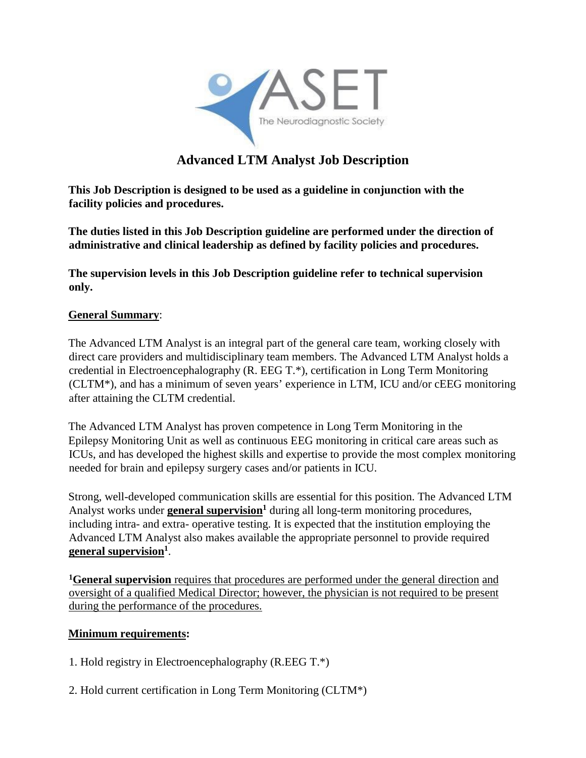

# **Advanced LTM Analyst Job Description**

**This Job Description is designed to be used as a guideline in conjunction with the facility policies and procedures.**

**The duties listed in this Job Description guideline are performed under the direction of administrative and clinical leadership as defined by facility policies and procedures.**

**The supervision levels in this Job Description guideline refer to technical supervision only.** 

## **General Summary**:

The Advanced LTM Analyst is an integral part of the general care team, working closely with direct care providers and multidisciplinary team members. The Advanced LTM Analyst holds a credential in Electroencephalography (R. EEG T.\*), certification in Long Term Monitoring (CLTM\*), and has a minimum of seven years' experience in LTM, ICU and/or cEEG monitoring after attaining the CLTM credential.

The Advanced LTM Analyst has proven competence in Long Term Monitoring in the Epilepsy Monitoring Unit as well as continuous EEG monitoring in critical care areas such as ICUs, and has developed the highest skills and expertise to provide the most complex monitoring needed for brain and epilepsy surgery cases and/or patients in ICU.

Strong, well-developed communication skills are essential for this position. The Advanced LTM Analyst works under **general supervision**<sup>1</sup> during all long-term monitoring procedures, including intra- and extra- operative testing. It is expected that the institution employing the Advanced LTM Analyst also makes available the appropriate personnel to provide required **general supervision1**.

**1General supervision** requires that procedures are performed under the general direction and oversight of a qualified Medical Director; however, the physician is not required to be present during the performance of the procedures.

#### **Minimum requirements:**

- 1. Hold registry in Electroencephalography (R.EEG T.\*)
- 2. Hold current certification in Long Term Monitoring (CLTM\*)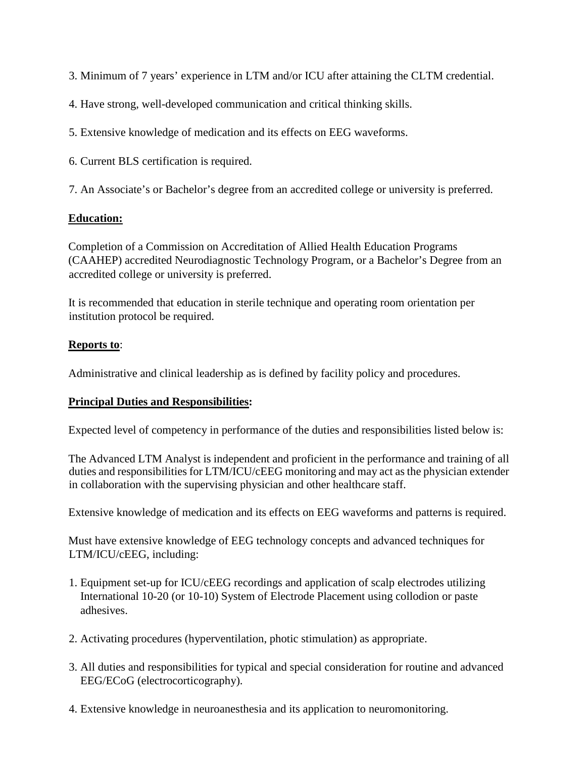3. Minimum of 7 years' experience in LTM and/or ICU after attaining the CLTM credential.

4. Have strong, well-developed communication and critical thinking skills.

5. Extensive knowledge of medication and its effects on EEG waveforms.

6. Current BLS certification is required.

7. An Associate's or Bachelor's degree from an accredited college or university is preferred.

# **Education:**

Completion of a Commission on Accreditation of Allied Health Education Programs (CAAHEP) accredited Neurodiagnostic Technology Program, or a Bachelor's Degree from an accredited college or university is preferred.

It is recommended that education in sterile technique and operating room orientation per institution protocol be required.

# **Reports to**:

Administrative and clinical leadership as is defined by facility policy and procedures.

## **Principal Duties and Responsibilities:**

Expected level of competency in performance of the duties and responsibilities listed below is:

The Advanced LTM Analyst is independent and proficient in the performance and training of all duties and responsibilities for LTM/ICU/cEEG monitoring and may act as the physician extender in collaboration with the supervising physician and other healthcare staff.

Extensive knowledge of medication and its effects on EEG waveforms and patterns is required.

Must have extensive knowledge of EEG technology concepts and advanced techniques for LTM/ICU/cEEG, including:

- 1. Equipment set-up for ICU/cEEG recordings and application of scalp electrodes utilizing International 10-20 (or 10-10) System of Electrode Placement using collodion or paste adhesives.
- 2. Activating procedures (hyperventilation, photic stimulation) as appropriate.
- 3. All duties and responsibilities for typical and special consideration for routine and advanced EEG/ECoG (electrocorticography).
- 4. Extensive knowledge in neuroanesthesia and its application to neuromonitoring.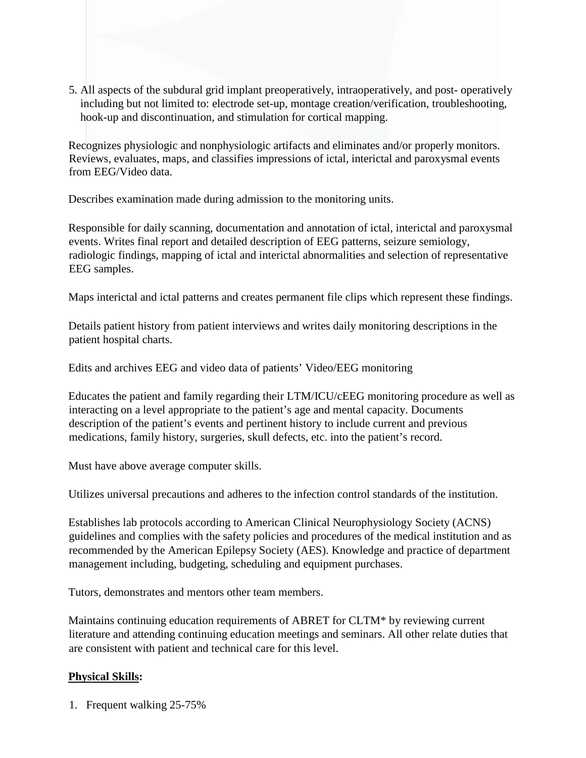5. All aspects of the subdural grid implant preoperatively, intraoperatively, and post- operatively including but not limited to: electrode set-up, montage creation/verification, troubleshooting, hook-up and discontinuation, and stimulation for cortical mapping.

Recognizes physiologic and nonphysiologic artifacts and eliminates and/or properly monitors. Reviews, evaluates, maps, and classifies impressions of ictal, interictal and paroxysmal events from EEG/Video data.

Describes examination made during admission to the monitoring units.

Responsible for daily scanning, documentation and annotation of ictal, interictal and paroxysmal events. Writes final report and detailed description of EEG patterns, seizure semiology, radiologic findings, mapping of ictal and interictal abnormalities and selection of representative EEG samples.

Maps interictal and ictal patterns and creates permanent file clips which represent these findings.

Details patient history from patient interviews and writes daily monitoring descriptions in the patient hospital charts.

Edits and archives EEG and video data of patients' Video/EEG monitoring

Educates the patient and family regarding their LTM/ICU/cEEG monitoring procedure as well as interacting on a level appropriate to the patient's age and mental capacity. Documents description of the patient's events and pertinent history to include current and previous medications, family history, surgeries, skull defects, etc. into the patient's record.

Must have above average computer skills.

Utilizes universal precautions and adheres to the infection control standards of the institution.

Establishes lab protocols according to American Clinical Neurophysiology Society (ACNS) guidelines and complies with the safety policies and procedures of the medical institution and as recommended by the American Epilepsy Society (AES). Knowledge and practice of department management including, budgeting, scheduling and equipment purchases.

Tutors, demonstrates and mentors other team members.

Maintains continuing education requirements of ABRET for CLTM\* by reviewing current literature and attending continuing education meetings and seminars. All other relate duties that are consistent with patient and technical care for this level.

## **Physical Skills:**

1. Frequent walking 25-75%